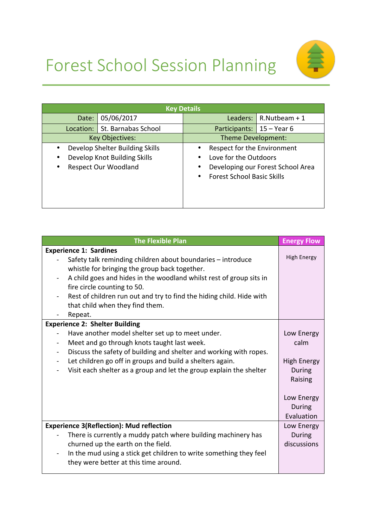



| <b>Key Details</b>                                                                                                       |                                                                                                                                                            |  |
|--------------------------------------------------------------------------------------------------------------------------|------------------------------------------------------------------------------------------------------------------------------------------------------------|--|
| 05/06/2017<br>Date:                                                                                                      | Leaders: $\vert$ R. Nutbeam + 1                                                                                                                            |  |
| Location: St. Barnabas School                                                                                            | Participants:   15 - Year 6                                                                                                                                |  |
| <b>Key Objectives:</b>                                                                                                   | Theme Development:                                                                                                                                         |  |
| Develop Shelter Building Skills<br>$\bullet$<br>Develop Knot Building Skills<br><b>Respect Our Woodland</b><br>$\bullet$ | Respect for the Environment<br>٠<br>Love for the Outdoors<br>$\bullet$<br>Developing our Forest School Area<br>٠<br><b>Forest School Basic Skills</b><br>٠ |  |

| <b>The Flexible Plan</b>                                                                                                                                                                                                                                                                                                                                              | <b>Energy Flow</b>                                                          |
|-----------------------------------------------------------------------------------------------------------------------------------------------------------------------------------------------------------------------------------------------------------------------------------------------------------------------------------------------------------------------|-----------------------------------------------------------------------------|
| <b>Experience 1: Sardines</b>                                                                                                                                                                                                                                                                                                                                         |                                                                             |
| Safety talk reminding children about boundaries - introduce<br>whistle for bringing the group back together.<br>A child goes and hides in the woodland whilst rest of group sits in<br>fire circle counting to 50.<br>Rest of children run out and try to find the hiding child. Hide with<br>that child when they find them.<br>Repeat.                              | <b>High Energy</b>                                                          |
| <b>Experience 2: Shelter Building</b>                                                                                                                                                                                                                                                                                                                                 |                                                                             |
| Have another model shelter set up to meet under.<br>Meet and go through knots taught last week.<br>$\qquad \qquad \blacksquare$<br>Discuss the safety of building and shelter and working with ropes.<br>Let children go off in groups and build a shelters again.<br>$\overline{\phantom{0}}$<br>Visit each shelter as a group and let the group explain the shelter | Low Energy<br>calm<br><b>High Energy</b><br>During<br>Raising<br>Low Energy |
|                                                                                                                                                                                                                                                                                                                                                                       | During                                                                      |
| <b>Experience 3(Reflection): Mud reflection</b><br>There is currently a muddy patch where building machinery has<br>churned up the earth on the field.<br>In the mud using a stick get children to write something they feel<br>$\blacksquare$<br>they were better at this time around.                                                                               | Evaluation<br>Low Energy<br>During<br>discussions                           |